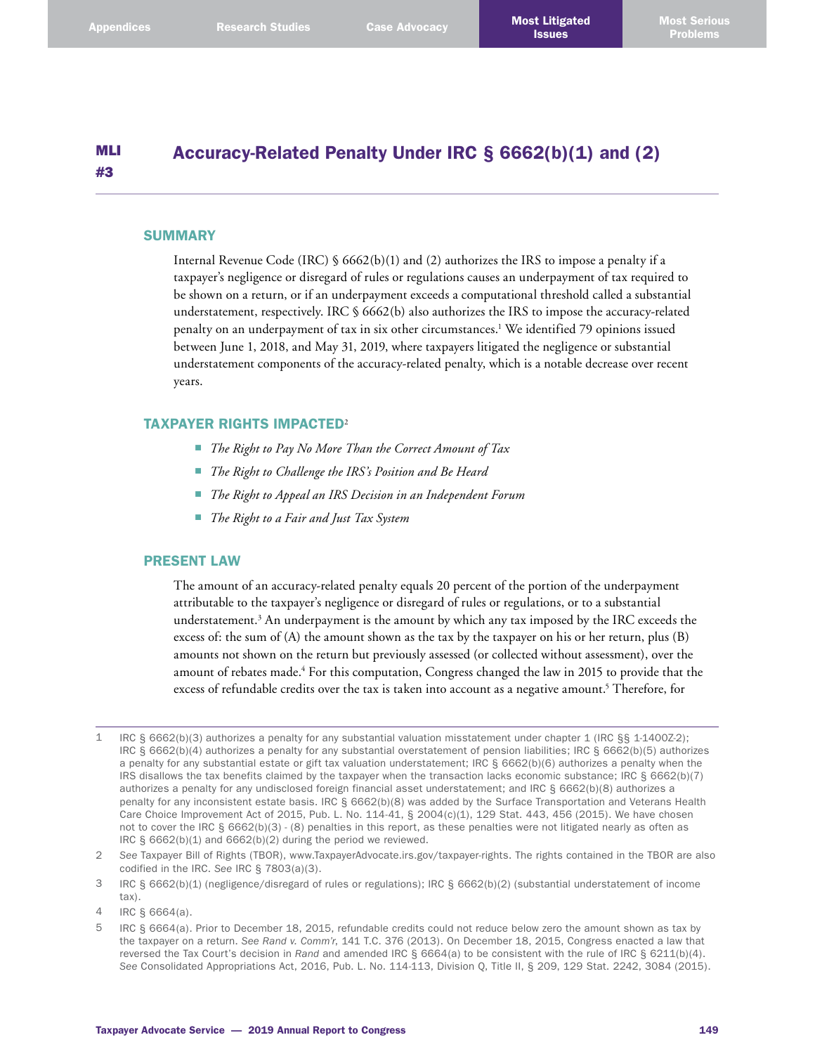#### MLI #3 Accuracy-Related Penalty Under IRC § 6662(b)(1) and (2)

### **SUMMARY**

Internal Revenue Code (IRC) §  $6662(b)(1)$  and (2) authorizes the IRS to impose a penalty if a taxpayer's negligence or disregard of rules or regulations causes an underpayment of tax required to be shown on a return, or if an underpayment exceeds a computational threshold called a substantial understatement, respectively. IRC § 6662(b) also authorizes the IRS to impose the accuracy-related penalty on an underpayment of tax in six other circumstances. 1 We identified 79 opinions issued between June 1, 2018, and May 31, 2019, where taxpayers litigated the negligence or substantial understatement components of the accuracy-related penalty, which is a notable decrease over recent years.

### TAXPAYER RIGHTS IMPACTED<sup>2</sup>

- *The Right to Pay No More Than the Correct Amount of Tax*
- *The Right to Challenge the IRS's Position and Be Heard*
- *The Right to Appeal an IRS Decision in an Independent Forum*
- *The Right to a Fair and Just Tax System*

# PRESENT LAW

The amount of an accuracy-related penalty equals 20 percent of the portion of the underpayment attributable to the taxpayer's negligence or disregard of rules or regulations, or to a substantial understatement. 3 An underpayment is the amount by which any tax imposed by the IRC exceeds the excess of: the sum of (A) the amount shown as the tax by the taxpayer on his or her return, plus (B) amounts not shown on the return but previously assessed (or collected without assessment), over the amount of rebates made. 4 For this computation, Congress changed the law in 2015 to provide that the excess of refundable credits over the tax is taken into account as a negative amount. 5 Therefore, for

<sup>1</sup> IRC § 6662(b)(3) authorizes a penalty for any substantial valuation misstatement under chapter 1 (IRC §§ 1-1400Z-2); IRC § 6662(b)(4) authorizes a penalty for any substantial overstatement of pension liabilities; IRC § 6662(b)(5) authorizes a penalty for any substantial estate or gift tax valuation understatement; IRC § 6662(b)(6) authorizes a penalty when the IRS disallows the tax benefits claimed by the taxpayer when the transaction lacks economic substance; IRC § 6662(b)(7) authorizes a penalty for any undisclosed foreign financial asset understatement; and IRC § 6662(b)(8) authorizes a penalty for any inconsistent estate basis. IRC § 6662(b)(8) was added by the Surface Transportation and Veterans Health Care Choice Improvement Act of 2015, Pub. L. No. 114-41, § 2004(c)(1), 129 Stat. 443, 456 (2015). We have chosen not to cover the IRC § 6662(b)(3) - (8) penalties in this report, as these penalties were not litigated nearly as often as IRC § 6662(b)(1) and 6662(b)(2) during the period we reviewed.

<sup>2</sup> *See* Taxpayer Bill of Rights (TBOR), [www.TaxpayerAdvocate.irs.gov/taxpayer-rights](http://www.TaxpayerAdvocate.irs.gov/taxpayer-rights). The rights contained in the TBOR are also codified in the IRC. *See* IRC § 7803(a)(3).

<sup>3</sup> IRC § 6662(b)(1) (negligence/disregard of rules or regulations); IRC § 6662(b)(2) (substantial understatement of income tax).

<sup>4</sup> IRC § 6664(a).

<sup>5</sup> IRC § 6664(a). Prior to December 18, 2015, refundable credits could not reduce below zero the amount shown as tax by the taxpayer on a return. *See Rand v. Comm'r*, 141 T.C. 376 (2013). On December 18, 2015, Congress enacted a law that reversed the Tax Court's decision in *Rand* and amended IRC § 6664(a) to be consistent with the rule of IRC § 6211(b)(4). *See* Consolidated Appropriations Act, 2016, Pub. L. No. 114-113, Division Q, Title II, § 209, 129 Stat. 2242, 3084 (2015).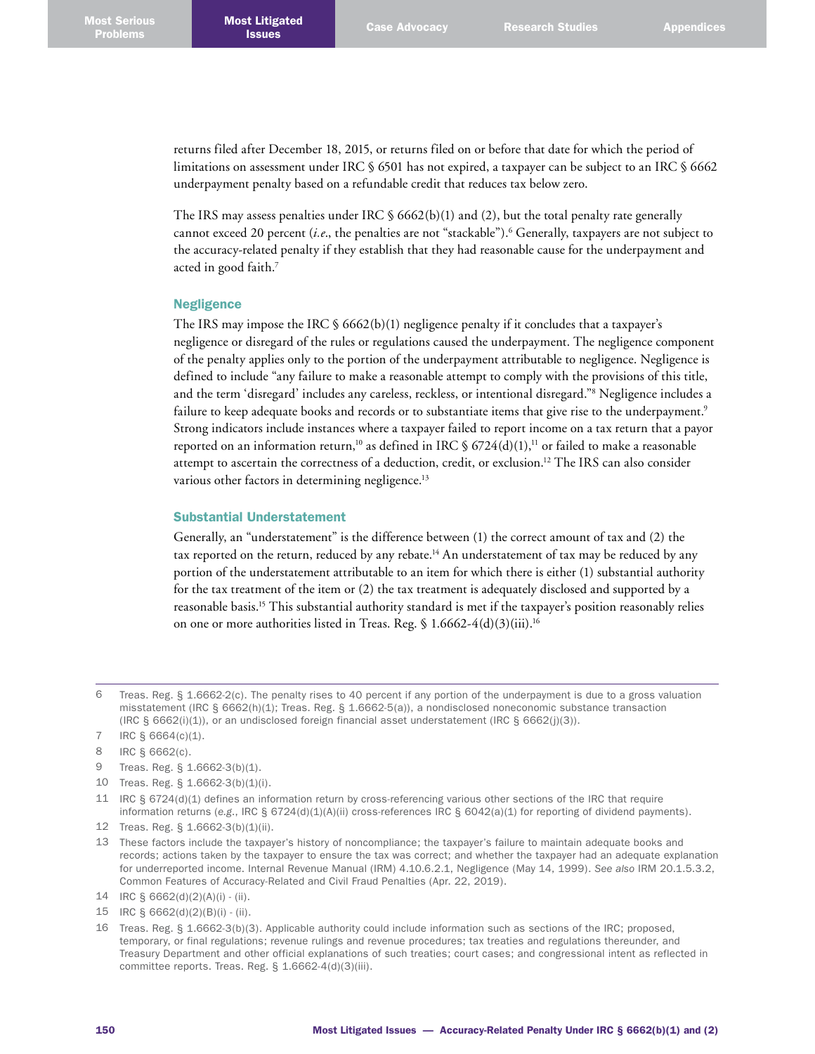returns filed after December 18, 2015, or returns filed on or before that date for which the period of limitations on assessment under IRC § 6501 has not expired, a taxpayer can be subject to an IRC § 6662 underpayment penalty based on a refundable credit that reduces tax below zero.

The IRS may assess penalties under IRC  $\S$  6662(b)(1) and (2), but the total penalty rate generally cannot exceed 20 percent (*i.e*., the penalties are not "stackable"). 6 Generally, taxpayers are not subject to the accuracy-related penalty if they establish that they had reasonable cause for the underpayment and acted in good faith. 7

## Negligence

The IRS may impose the IRC  $\S$  6662(b)(1) negligence penalty if it concludes that a taxpayer's negligence or disregard of the rules or regulations caused the underpayment. The negligence component of the penalty applies only to the portion of the underpayment attributable to negligence. Negligence is defined to include "any failure to make a reasonable attempt to comply with the provisions of this title, and the term 'disregard' includes any careless, reckless, or intentional disregard."8 Negligence includes a failure to keep adequate books and records or to substantiate items that give rise to the underpayment. 9 Strong indicators include instances where a taxpayer failed to report income on a tax return that a payor reported on an information return,<sup>10</sup> as defined in IRC § 6724(d)(1),<sup>11</sup> or failed to make a reasonable attempt to ascertain the correctness of a deduction, credit, or exclusion. 12 The IRS can also consider various other factors in determining negligence.<sup>13</sup>

#### Substantial Understatement

Generally, an "understatement" is the difference between (1) the correct amount of tax and (2) the tax reported on the return, reduced by any rebate. 14 An understatement of tax may be reduced by any portion of the understatement attributable to an item for which there is either (1) substantial authority for the tax treatment of the item or (2) the tax treatment is adequately disclosed and supported by a reasonable basis. 15 This substantial authority standard is met if the taxpayer's position reasonably relies on one or more authorities listed in Treas. Reg. § 1.6662-4(d)(3)(iii). 16

<sup>6</sup> Treas. Reg. § 1.6662-2(c). The penalty rises to 40 percent if any portion of the underpayment is due to a gross valuation misstatement (IRC § 6662(h)(1); Treas. Reg. § 1.6662-5(a)), a nondisclosed noneconomic substance transaction (IRC § 6662(i)(1)), or an undisclosed foreign financial asset understatement (IRC § 6662(j)(3)).

<sup>7</sup> IRC § 6664(c)(1).

<sup>8</sup> IRC § 6662(c).

<sup>9</sup> Treas. Reg. § 1.6662-3(b)(1).

<sup>10</sup> Treas. Reg. § 1.6662-3(b)(1)(i).

<sup>11</sup> IRC § 6724(d)(1) defines an information return by cross-referencing various other sections of the IRC that require information returns (*e.g*., IRC § 6724(d)(1)(A)(ii) cross-references IRC § 6042(a)(1) for reporting of dividend payments).

<sup>12</sup> Treas. Reg. § 1.6662-3(b)(1)(ii).

<sup>13</sup> These factors include the taxpayer's history of noncompliance; the taxpayer's failure to maintain adequate books and records; actions taken by the taxpayer to ensure the tax was correct; and whether the taxpayer had an adequate explanation for underreported income. Internal Revenue Manual (IRM) 4.10.6.2.1, Negligence (May 14, 1999). *See also* IRM 20.1.5.3.2, Common Features of Accuracy-Related and Civil Fraud Penalties (Apr. 22, 2019).

<sup>14</sup> IRC § 6662(d)(2)(A)(i) - (ii).

<sup>15</sup> IRC § 6662(d)(2)(B)(i) - (ii).

<sup>16</sup> Treas. Reg. § 1.6662-3(b)(3). Applicable authority could include information such as sections of the IRC; proposed, temporary, or final regulations; revenue rulings and revenue procedures; tax treaties and regulations thereunder, and Treasury Department and other official explanations of such treaties; court cases; and congressional intent as reflected in committee reports. Treas. Reg. § 1.6662-4(d)(3)(iii).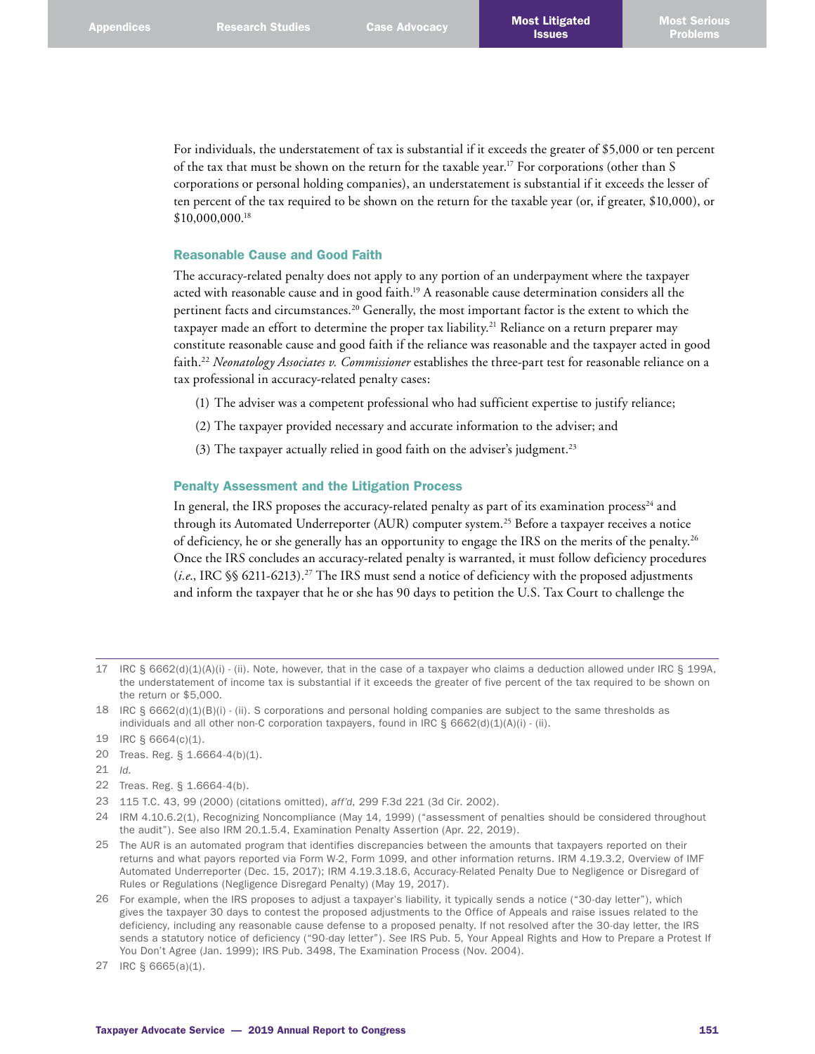For individuals, the understatement of tax is substantial if it exceeds the greater of \$5,000 or ten percent of the tax that must be shown on the return for the taxable year. 17 For corporations (other than S corporations or personal holding companies), an understatement is substantial if it exceeds the lesser of ten percent of the tax required to be shown on the return for the taxable year (or, if greater, \$10,000), or \$10,000,000. 18

# Reasonable Cause and Good Faith

The accuracy-related penalty does not apply to any portion of an underpayment where the taxpayer acted with reasonable cause and in good faith. 19 A reasonable cause determination considers all the pertinent facts and circumstances. 20 Generally, the most important factor is the extent to which the taxpayer made an effort to determine the proper tax liability. 21 Reliance on a return preparer may constitute reasonable cause and good faith if the reliance was reasonable and the taxpayer acted in good faith. <sup>22</sup> *Neonatology Associates v. Commissioner* establishes the three-part test for reasonable reliance on a tax professional in accuracy-related penalty cases:

- (1) The adviser was a competent professional who had sufficient expertise to justify reliance;
- (2) The taxpayer provided necessary and accurate information to the adviser; and
- (3) The taxpayer actually relied in good faith on the adviser's judgment. 23

### Penalty Assessment and the Litigation Process

In general, the IRS proposes the accuracy-related penalty as part of its examination process<sup>24</sup> and through its Automated Underreporter (AUR) computer system. 25 Before a taxpayer receives a notice of deficiency, he or she generally has an opportunity to engage the IRS on the merits of the penalty. $^{26}$ Once the IRS concludes an accuracy-related penalty is warranted, it must follow deficiency procedures (*i.e*., IRC §§ 6211-6213). 27 The IRS must send a notice of deficiency with the proposed adjustments and inform the taxpayer that he or she has 90 days to petition the U.S. Tax Court to challenge the

- 20 Treas. Reg. § 1.6664-4(b)(1).
- 21 *Id*.
- 22 Treas. Reg. § 1.6664-4(b).
- 23 115 T.C. 43, 99 (2000) (citations omitted), *aff'd*, 299 F.3d 221 (3d Cir. 2002).
- 24 IRM 4.10.6.2(1), Recognizing Noncompliance (May 14, 1999) ("assessment of penalties should be considered throughout the audit"). See also IRM 20.1.5.4, Examination Penalty Assertion (Apr. 22, 2019).
- 25 The AUR is an automated program that identifies discrepancies between the amounts that taxpayers reported on their returns and what payors reported via Form W-2, Form 1099, and other information returns. IRM 4.19.3.2, Overview of IMF Automated Underreporter (Dec. 15, 2017); IRM 4.19.3.18.6, Accuracy-Related Penalty Due to Negligence or Disregard of Rules or Regulations (Negligence Disregard Penalty) (May 19, 2017).
- 26 For example, when the IRS proposes to adjust a taxpayer's liability, it typically sends a notice ("30-day letter"), which gives the taxpayer 30 days to contest the proposed adjustments to the Office of Appeals and raise issues related to the deficiency, including any reasonable cause defense to a proposed penalty. If not resolved after the 30-day letter, the IRS sends a statutory notice of deficiency ("90-day letter"). *See* IRS Pub. 5, Your Appeal Rights and How to Prepare a Protest If You Don't Agree (Jan. 1999); IRS Pub. 3498, The Examination Process (Nov. 2004).

<sup>17</sup> IRC § 6662(d)(1)(A)(i) - (ii). Note, however, that in the case of a taxpayer who claims a deduction allowed under IRC § 199A, the understatement of income tax is substantial if it exceeds the greater of five percent of the tax required to be shown on the return or \$5,000.

<sup>18</sup> IRC § 6662(d)(1)(B)(i) - (ii). S corporations and personal holding companies are subject to the same thresholds as individuals and all other non-C corporation taxpayers, found in IRC  $\S 6662(d)(1)(A)(i)$  - (ii).

<sup>19</sup> IRC § 6664(c)(1).

<sup>27</sup> IRC § 6665(a)(1).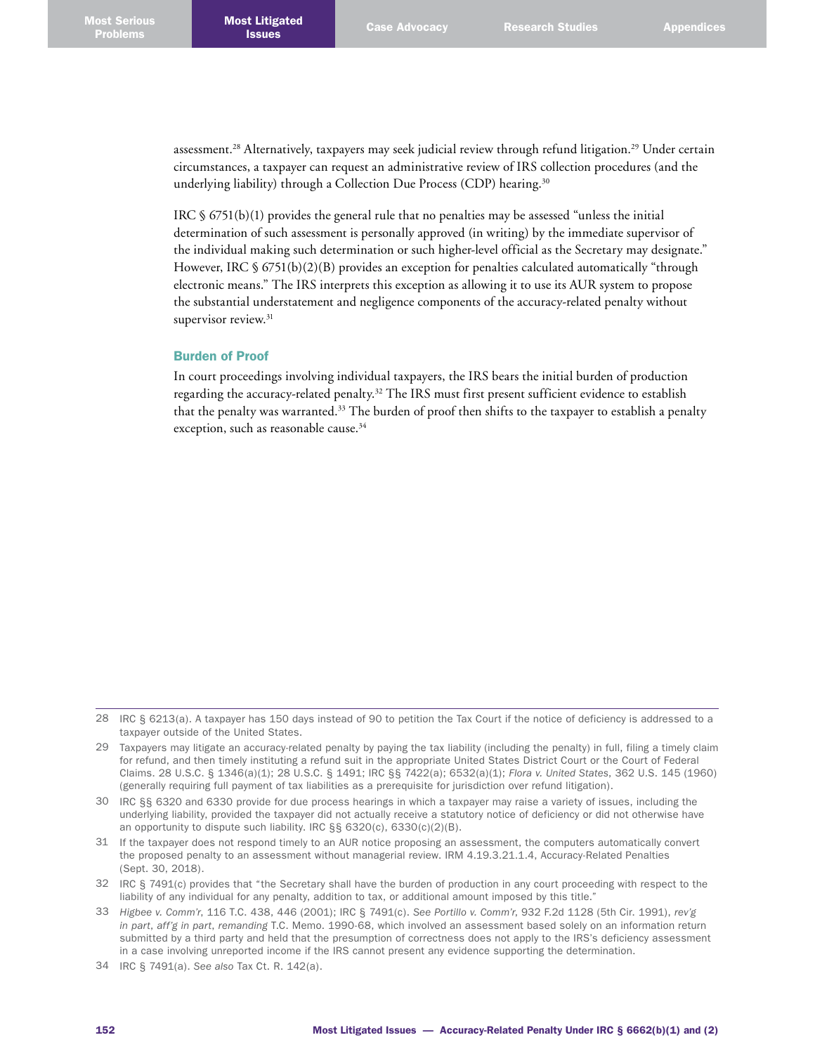assessment. 28 Alternatively, taxpayers may seek judicial review through refund litigation. 29 Under certain circumstances, a taxpayer can request an administrative review of IRS collection procedures (and the underlying liability) through a Collection Due Process (CDP) hearing. 30

IRC § 6751(b)(1) provides the general rule that no penalties may be assessed "unless the initial determination of such assessment is personally approved (in writing) by the immediate supervisor of the individual making such determination or such higher-level official as the Secretary may designate." However, IRC § 6751(b)(2)(B) provides an exception for penalties calculated automatically "through electronic means." The IRS interprets this exception as allowing it to use its AUR system to propose the substantial understatement and negligence components of the accuracy-related penalty without supervisor review.<sup>31</sup>

#### Burden of Proof

In court proceedings involving individual taxpayers, the IRS bears the initial burden of production regarding the accuracy-related penalty. 32 The IRS must first present sufficient evidence to establish that the penalty was warranted.<sup>33</sup> The burden of proof then shifts to the taxpayer to establish a penalty exception, such as reasonable cause. 34

- 30 IRC §§ 6320 and 6330 provide for due process hearings in which a taxpayer may raise a variety of issues, including the underlying liability, provided the taxpayer did not actually receive a statutory notice of deficiency or did not otherwise have an opportunity to dispute such liability. IRC §§ 6320(c), 6330(c)(2)(B).
- 31 If the taxpayer does not respond timely to an AUR notice proposing an assessment, the computers automatically convert the proposed penalty to an assessment without managerial review. IRM 4.19.3.21.1.4, Accuracy-Related Penalties (Sept. 30, 2018).
- 32 IRC § 7491(c) provides that "the Secretary shall have the burden of production in any court proceeding with respect to the liability of any individual for any penalty, addition to tax, or additional amount imposed by this title."
- 33 *Higbee v. Comm'r*, 116 T.C. 438, 446 (2001); IRC § 7491(c). *See Portillo v. Comm'r*, 932 F.2d 1128 (5th Cir. 1991), *rev'g in part*, *aff'g in part*, *remanding* T.C. Memo. 1990-68, which involved an assessment based solely on an information return submitted by a third party and held that the presumption of correctness does not apply to the IRS's deficiency assessment in a case involving unreported income if the IRS cannot present any evidence supporting the determination.
- 34 IRC § 7491(a). *See also* Tax Ct. R. 142(a).

<sup>28</sup> IRC § 6213(a). A taxpayer has 150 days instead of 90 to petition the Tax Court if the notice of deficiency is addressed to a taxpayer outside of the United States.

<sup>29</sup> Taxpayers may litigate an accuracy-related penalty by paying the tax liability (including the penalty) in full, filing a timely claim for refund, and then timely instituting a refund suit in the appropriate United States District Court or the Court of Federal Claims. 28 U.S.C. § 1346(a)(1); 28 U.S.C. § 1491; IRC §§ 7422(a); 6532(a)(1); *Flora v. United States*, 362 U.S. 145 (1960) (generally requiring full payment of tax liabilities as a prerequisite for jurisdiction over refund litigation).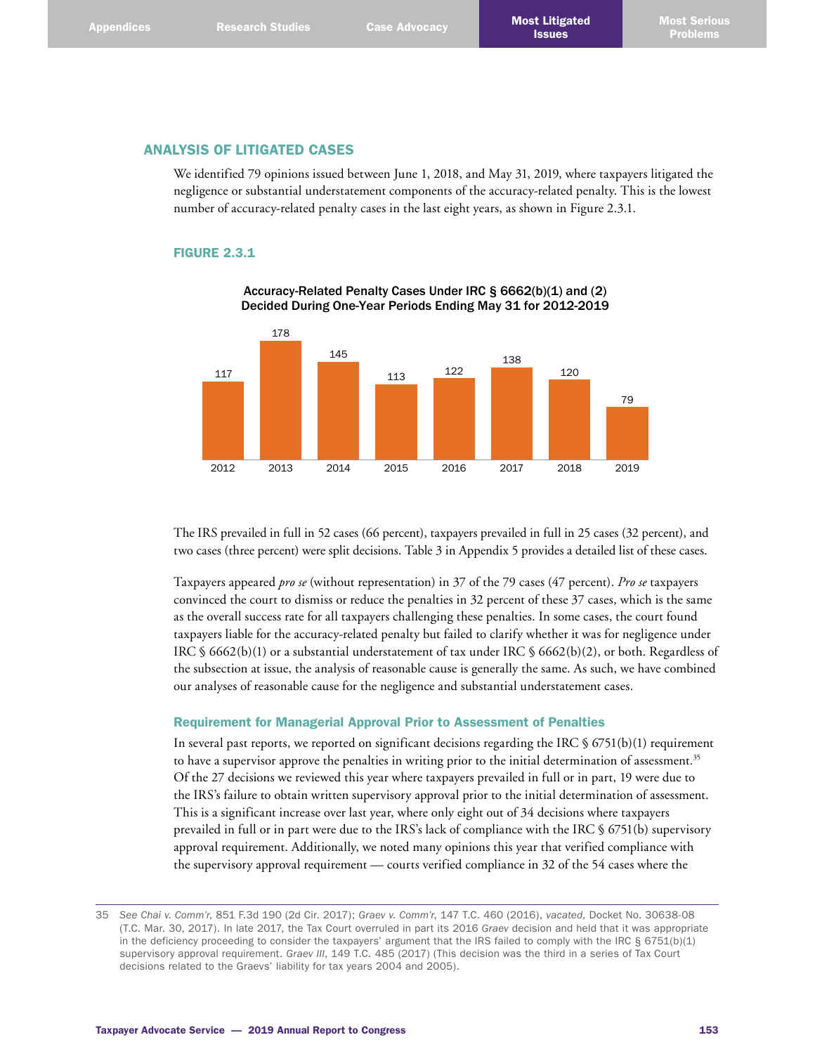# ANALYSIS OF LITIGATED CASES

We identified 79 opinions issued between June 1, 2018, and May 31, 2019, where taxpayers litigated the negligence or substantial understatement components of the accuracy-related penalty. This is the lowest number of accuracy-related penalty cases in the last eight years, as shown in Figure 2.3.1.

## FIGURE 2.3.1



Accuracy-Related Penalty Cases Under IRC § 6662(b)(1) and (2) Decided During One-Year Periods Ending May 31 for 2012-2019

The IRS prevailed in full in 52 cases (66 percent), taxpayers prevailed in full in 25 cases (32 percent), and two cases (three percent) were split decisions. Table 3 in Appendix 5 provides a detailed list of these cases.

Taxpayers appeared *pro se* (without representation) in 37 of the 79 cases (47 percent). *Pro se* taxpayers convinced the court to dismiss or reduce the penalties in 32 percent of these 37 cases, which is the same as the overall success rate for all taxpayers challenging these penalties. In some cases, the court found taxpayers liable for the accuracy-related penalty but failed to clarify whether it was for negligence under IRC § 6662(b)(1) or a substantial understatement of tax under IRC § 6662(b)(2), or both. Regardless of the subsection at issue, the analysis of reasonable cause is generally the same. As such, we have combined our analyses of reasonable cause for the negligence and substantial understatement cases.

# Requirement for Managerial Approval Prior to Assessment of Penalties

In several past reports, we reported on significant decisions regarding the IRC  $\S$  6751(b)(1) requirement to have a supervisor approve the penalties in writing prior to the initial determination of assessment.<sup>35</sup> Of the 27 decisions we reviewed this year where taxpayers prevailed in full or in part, 19 were due to the IRS's failure to obtain written supervisory approval prior to the initial determination of assessment. This is a significant increase over last year, where only eight out of 34 decisions where taxpayers prevailed in full or in part were due to the IRS's lack of compliance with the IRC § 6751(b) supervisory approval requirement. Additionally, we noted many opinions this year that verified compliance with the supervisory approval requirement — courts verified compliance in 32 of the 54 cases where the

<sup>35</sup> *See Chai v. Comm'r*, 851 F.3d 190 (2d Cir. 2017); *Graev v. Comm'r*, 147 T.C. 460 (2016), *vacated*, Docket No. 30638-08 (T.C. Mar. 30, 2017). In late 2017, the Tax Court overruled in part its 2016 *Graev* decision and held that it was appropriate in the deficiency proceeding to consider the taxpayers' argument that the IRS failed to comply with the IRC § 6751(b)(1) supervisory approval requirement. *Graev III*, 149 T.C. 485 (2017) (This decision was the third in a series of Tax Court decisions related to the Graevs' liability for tax years 2004 and 2005).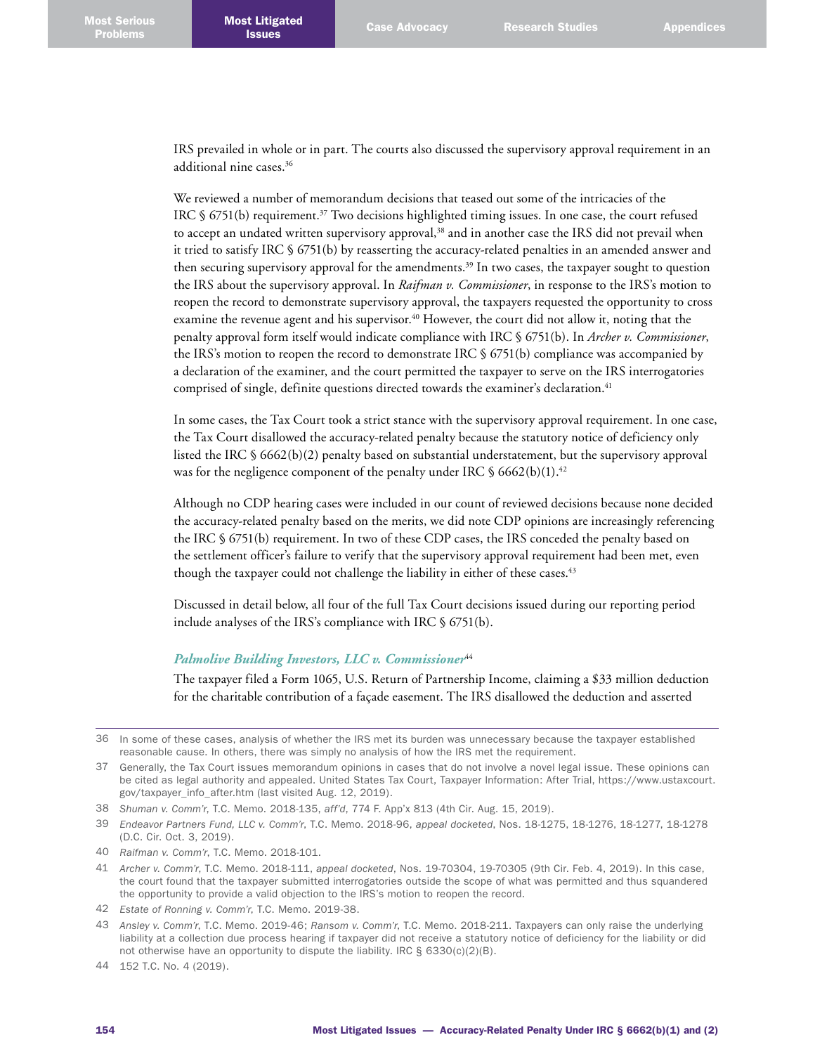IRS prevailed in whole or in part. The courts also discussed the supervisory approval requirement in an additional nine cases. 36

We reviewed a number of memorandum decisions that teased out some of the intricacies of the IRC  $\S$  6751(b) requirement.<sup>37</sup> Two decisions highlighted timing issues. In one case, the court refused to accept an undated written supervisory approval,<sup>38</sup> and in another case the IRS did not prevail when it tried to satisfy IRC § 6751(b) by reasserting the accuracy-related penalties in an amended answer and then securing supervisory approval for the amendments. 39 In two cases, the taxpayer sought to question the IRS about the supervisory approval. In *Raifman v. Commissioner*, in response to the IRS's motion to reopen the record to demonstrate supervisory approval, the taxpayers requested the opportunity to cross examine the revenue agent and his supervisor.<sup>40</sup> However, the court did not allow it, noting that the penalty approval form itself would indicate compliance with IRC § 6751(b). In *Archer v. Commissioner*, the IRS's motion to reopen the record to demonstrate IRC § 6751(b) compliance was accompanied by a declaration of the examiner, and the court permitted the taxpayer to serve on the IRS interrogatories comprised of single, definite questions directed towards the examiner's declaration. 41

In some cases, the Tax Court took a strict stance with the supervisory approval requirement. In one case, the Tax Court disallowed the accuracy-related penalty because the statutory notice of deficiency only listed the IRC § 6662(b)(2) penalty based on substantial understatement, but the supervisory approval was for the negligence component of the penalty under IRC § 6662(b)(1). 42

Although no CDP hearing cases were included in our count of reviewed decisions because none decided the accuracy-related penalty based on the merits, we did note CDP opinions are increasingly referencing the IRC § 6751(b) requirement. In two of these CDP cases, the IRS conceded the penalty based on the settlement officer's failure to verify that the supervisory approval requirement had been met, even though the taxpayer could not challenge the liability in either of these cases. 43

Discussed in detail below, all four of the full Tax Court decisions issued during our reporting period include analyses of the IRS's compliance with IRC § 6751(b).

# *Palmolive Building Investors, LLC v. Commissioner*<sup>44</sup>

The taxpayer filed a Form 1065, U.S. Return of Partnership Income, claiming a \$33 million deduction for the charitable contribution of a façade easement. The IRS disallowed the deduction and asserted

<sup>36</sup> In some of these cases, analysis of whether the IRS met its burden was unnecessary because the taxpayer established reasonable cause. In others, there was simply no analysis of how the IRS met the requirement.

<sup>37</sup> Generally, the Tax Court issues memorandum opinions in cases that do not involve a novel legal issue. These opinions can be cited as legal authority and appealed. United States Tax Court, Taxpayer Information: After Trial, [https://www.ustaxcourt.](https://www.ustaxcourt.gov/taxpayer_info_after.htm) [gov/taxpayer\\_info\\_after.htm](https://www.ustaxcourt.gov/taxpayer_info_after.htm) (last visited Aug. 12, 2019).

<sup>38</sup> *Shuman v. Comm'r*, T.C. Memo. 2018-135, *aff'd*, 774 F. App'x 813 (4th Cir. Aug. 15, 2019).

<sup>39</sup> *Endeavor Partners Fund, LLC v. Comm'r*, T.C. Memo. 2018-96, *appeal docketed*, Nos. 18-1275, 18-1276, 18-1277, 18-1278 (D.C. Cir. Oct. 3, 2019).

<sup>40</sup> *Raifman v. Comm'r*, T.C. Memo. 2018-101.

<sup>41</sup> *Archer v. Comm'r*, T.C. Memo. 2018-111, *appeal docketed*, Nos. 19-70304, 19-70305 (9th Cir. Feb. 4, 2019). In this case, the court found that the taxpayer submitted interrogatories outside the scope of what was permitted and thus squandered the opportunity to provide a valid objection to the IRS's motion to reopen the record.

<sup>42</sup> *Estate of Ronning v. Comm'r*, T.C. Memo. 2019-38.

<sup>43</sup> *Ansley v. Comm'r*, T.C. Memo. 2019-46; *Ransom v. Comm'r*, T.C. Memo. 2018-211. Taxpayers can only raise the underlying liability at a collection due process hearing if taxpayer did not receive a statutory notice of deficiency for the liability or did not otherwise have an opportunity to dispute the liability. IRC § 6330(c)(2)(B).

<sup>44</sup> 152 T.C. No. 4 (2019).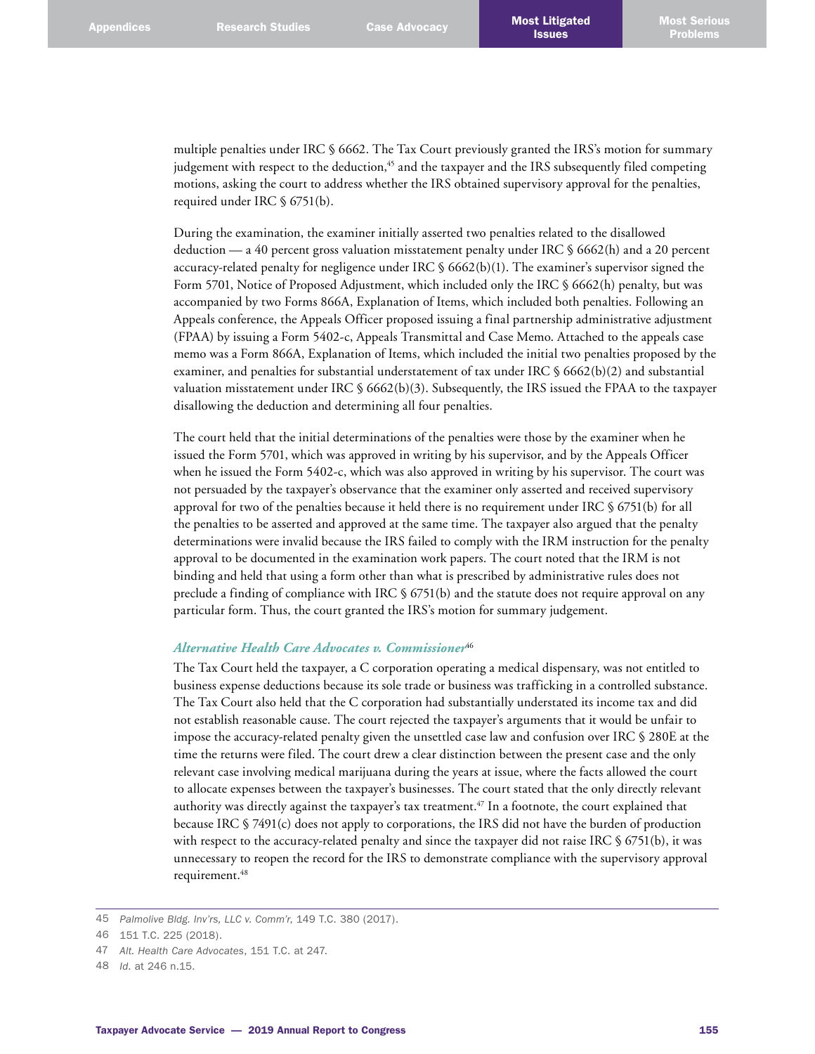multiple penalties under IRC § 6662. The Tax Court previously granted the IRS's motion for summary judgement with respect to the deduction, $45$  and the taxpayer and the IRS subsequently filed competing motions, asking the court to address whether the IRS obtained supervisory approval for the penalties, required under IRC § 6751(b).

During the examination, the examiner initially asserted two penalties related to the disallowed deduction — a 40 percent gross valuation misstatement penalty under IRC § 6662(h) and a 20 percent accuracy-related penalty for negligence under IRC § 6662(b)(1). The examiner's supervisor signed the Form 5701, Notice of Proposed Adjustment, which included only the IRC § 6662(h) penalty, but was accompanied by two Forms 866A, Explanation of Items, which included both penalties. Following an Appeals conference, the Appeals Officer proposed issuing a final partnership administrative adjustment (FPAA) by issuing a Form 5402-c, Appeals Transmittal and Case Memo. Attached to the appeals case memo was a Form 866A, Explanation of Items, which included the initial two penalties proposed by the examiner, and penalties for substantial understatement of tax under IRC § 6662(b)(2) and substantial valuation misstatement under IRC § 6662(b)(3). Subsequently, the IRS issued the FPAA to the taxpayer disallowing the deduction and determining all four penalties.

The court held that the initial determinations of the penalties were those by the examiner when he issued the Form 5701, which was approved in writing by his supervisor, and by the Appeals Officer when he issued the Form 5402-c, which was also approved in writing by his supervisor. The court was not persuaded by the taxpayer's observance that the examiner only asserted and received supervisory approval for two of the penalties because it held there is no requirement under IRC § 6751(b) for all the penalties to be asserted and approved at the same time. The taxpayer also argued that the penalty determinations were invalid because the IRS failed to comply with the IRM instruction for the penalty approval to be documented in the examination work papers. The court noted that the IRM is not binding and held that using a form other than what is prescribed by administrative rules does not preclude a finding of compliance with IRC § 6751(b) and the statute does not require approval on any particular form. Thus, the court granted the IRS's motion for summary judgement.

### *Alternative Health Care Advocates v. Commissioner*<sup>46</sup>

The Tax Court held the taxpayer, a C corporation operating a medical dispensary, was not entitled to business expense deductions because its sole trade or business was trafficking in a controlled substance. The Tax Court also held that the C corporation had substantially understated its income tax and did not establish reasonable cause. The court rejected the taxpayer's arguments that it would be unfair to impose the accuracy-related penalty given the unsettled case law and confusion over IRC § 280E at the time the returns were filed. The court drew a clear distinction between the present case and the only relevant case involving medical marijuana during the years at issue, where the facts allowed the court to allocate expenses between the taxpayer's businesses. The court stated that the only directly relevant authority was directly against the taxpayer's tax treatment. 47 In a footnote, the court explained that because IRC § 7491(c) does not apply to corporations, the IRS did not have the burden of production with respect to the accuracy-related penalty and since the taxpayer did not raise IRC § 6751(b), it was unnecessary to reopen the record for the IRS to demonstrate compliance with the supervisory approval requirement. 48

- 47 *Alt. Health Care Advocates*, 151 T.C. at 247.
- 48 *Id*. at 246 n.15.

<sup>45</sup> *Palmolive Bldg. Inv'rs, LLC v. Comm'r*, 149 T.C. 380 (2017).

<sup>46</sup> 151 T.C. 225 (2018).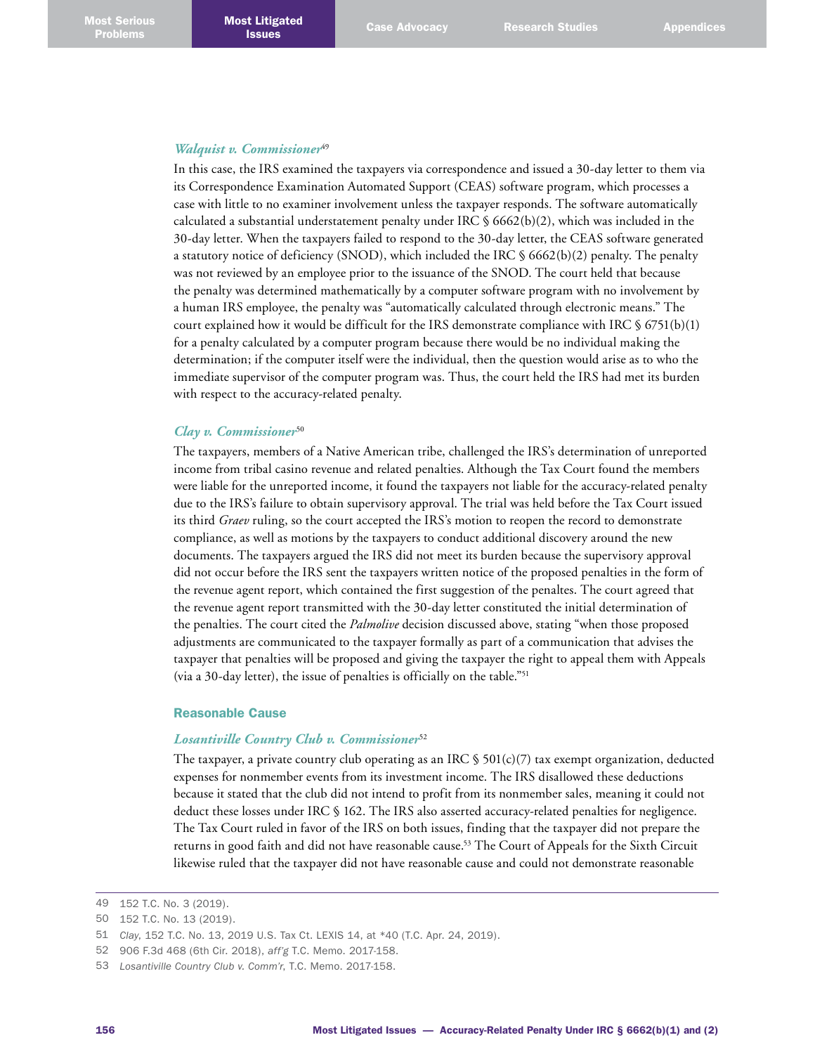#### *Walquist v. Commissioner*<sup>49</sup>

In this case, the IRS examined the taxpayers via correspondence and issued a 30-day letter to them via its Correspondence Examination Automated Support (CEAS) software program, which processes a case with little to no examiner involvement unless the taxpayer responds. The software automatically calculated a substantial understatement penalty under IRC  $\S$  6662(b)(2), which was included in the 30-day letter. When the taxpayers failed to respond to the 30-day letter, the CEAS software generated a statutory notice of deficiency (SNOD), which included the IRC § 6662(b)(2) penalty. The penalty was not reviewed by an employee prior to the issuance of the SNOD. The court held that because the penalty was determined mathematically by a computer software program with no involvement by a human IRS employee, the penalty was "automatically calculated through electronic means." The court explained how it would be difficult for the IRS demonstrate compliance with IRC  $\S 6751(b)(1)$ for a penalty calculated by a computer program because there would be no individual making the determination; if the computer itself were the individual, then the question would arise as to who the immediate supervisor of the computer program was. Thus, the court held the IRS had met its burden with respect to the accuracy-related penalty.

#### *Clay v. Commissioner*<sup>50</sup>

The taxpayers, members of a Native American tribe, challenged the IRS's determination of unreported income from tribal casino revenue and related penalties. Although the Tax Court found the members were liable for the unreported income, it found the taxpayers not liable for the accuracy-related penalty due to the IRS's failure to obtain supervisory approval. The trial was held before the Tax Court issued its third *Graev* ruling, so the court accepted the IRS's motion to reopen the record to demonstrate compliance, as well as motions by the taxpayers to conduct additional discovery around the new documents. The taxpayers argued the IRS did not meet its burden because the supervisory approval did not occur before the IRS sent the taxpayers written notice of the proposed penalties in the form of the revenue agent report, which contained the first suggestion of the penaltes. The court agreed that the revenue agent report transmitted with the 30-day letter constituted the initial determination of the penalties. The court cited the *Palmolive* decision discussed above, stating "when those proposed adjustments are communicated to the taxpayer formally as part of a communication that advises the taxpayer that penalties will be proposed and giving the taxpayer the right to appeal them with Appeals (via a 30-day letter), the issue of penalties is officially on the table."51

### Reasonable Cause

#### *Losantiville Country Club v. Commissioner*<sup>52</sup>

The taxpayer, a private country club operating as an IRC  $\frac{1}{5}$  501(c)(7) tax exempt organization, deducted expenses for nonmember events from its investment income. The IRS disallowed these deductions because it stated that the club did not intend to profit from its nonmember sales, meaning it could not deduct these losses under IRC § 162. The IRS also asserted accuracy-related penalties for negligence. The Tax Court ruled in favor of the IRS on both issues, finding that the taxpayer did not prepare the returns in good faith and did not have reasonable cause. 53 The Court of Appeals for the Sixth Circuit likewise ruled that the taxpayer did not have reasonable cause and could not demonstrate reasonable

<sup>49</sup> 152 T.C. No. 3 (2019).

<sup>50</sup> 152 T.C. No. 13 (2019).

<sup>51</sup> *Clay*, 152 T.C. No. 13, 2019 U.S. Tax Ct. LEXIS 14, at \*40 (T.C. Apr. 24, 2019).

<sup>52</sup> 906 F.3d 468 (6th Cir. 2018), *aff'g* T.C. Memo. 2017-158.

<sup>53</sup> *Losantiville Country Club v. Comm'r*, T.C. Memo. 2017-158.